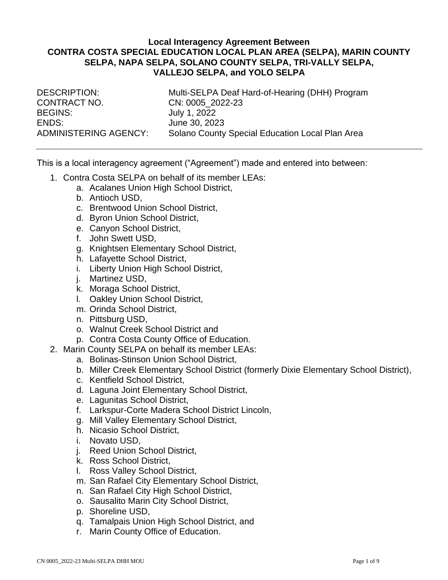### **Local Interagency Agreement Between CONTRA COSTA SPECIAL EDUCATION LOCAL PLAN AREA (SELPA), MARIN COUNTY SELPA, NAPA SELPA, SOLANO COUNTY SELPA, TRI-VALLY SELPA, VALLEJO SELPA, and YOLO SELPA**

CONTRACT NO. CN: 0005\_2022-23 BEGINS: July 1, 2022 ENDS: June 30, 2023

DESCRIPTION: Multi-SELPA Deaf Hard-of-Hearing (DHH) Program ADMINISTERING AGENCY: Solano County Special Education Local Plan Area

This is a local interagency agreement ("Agreement") made and entered into between:

- 1. Contra Costa SELPA on behalf of its member LEAs:
	- a. Acalanes Union High School District,
	- b. Antioch USD,
	- c. Brentwood Union School District,
	- d. Byron Union School District,
	- e. Canyon School District,
	- f. John Swett USD,
	- g. Knightsen Elementary School District,
	- h. Lafayette School District,
	- i. Liberty Union High School District,
	- j. Martinez USD,
	- k. Moraga School District,
	- l. Oakley Union School District,
	- m. Orinda School District,
	- n. Pittsburg USD,
	- o. Walnut Creek School District and
	- p. Contra Costa County Office of Education.
- 2. Marin County SELPA on behalf its member LEAs:
	- a. Bolinas-Stinson Union School District,
	- b. Miller Creek Elementary School District (formerly Dixie Elementary School District),
	- c. Kentfield School District,
	- d. Laguna Joint Elementary School District,
	- e. Lagunitas School District,
	- f. Larkspur-Corte Madera School District Lincoln,
	- g. Mill Valley Elementary School District,
	- h. Nicasio School District,
	- i. Novato USD,
	- j. Reed Union School District,
	- k. Ross School District,
	- l. Ross Valley School District,
	- m. San Rafael City Elementary School District,
	- n. San Rafael City High School District,
	- o. Sausalito Marin City School District,
	- p. Shoreline USD,
	- q. Tamalpais Union High School District, and
	- r. Marin County Office of Education.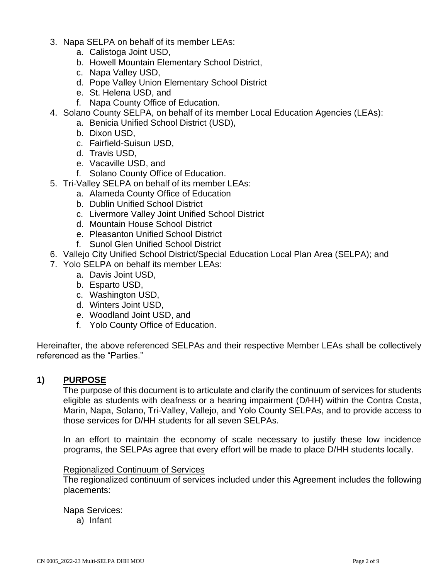- 3. Napa SELPA on behalf of its member LEAs:
	- a. Calistoga Joint USD,
	- b. Howell Mountain Elementary School District,
	- c. Napa Valley USD,
	- d. Pope Valley Union Elementary School District
	- e. St. Helena USD, and
	- f. Napa County Office of Education.
- 4. Solano County SELPA, on behalf of its member Local Education Agencies (LEAs):
	- a. Benicia Unified School District (USD),
	- b. Dixon USD,
	- c. Fairfield-Suisun USD,
	- d. Travis USD,
	- e. Vacaville USD, and
	- f. Solano County Office of Education.
- 5. Tri-Valley SELPA on behalf of its member LEAs:
	- a. Alameda County Office of Education
	- b. Dublin Unified School District
	- c. Livermore Valley Joint Unified School District
	- d. Mountain House School District
	- e. Pleasanton Unified School District
	- f. Sunol Glen Unified School District
- 6. Vallejo City Unified School District/Special Education Local Plan Area (SELPA); and
- 7. Yolo SELPA on behalf its member LEAs:
	- a. Davis Joint USD,
		- b. Esparto USD,
		- c. Washington USD,
		- d. Winters Joint USD,
		- e. Woodland Joint USD, and
	- f. Yolo County Office of Education.

Hereinafter, the above referenced SELPAs and their respective Member LEAs shall be collectively referenced as the "Parties."

# **1) PURPOSE**

The purpose of this document is to articulate and clarify the continuum of services for students eligible as students with deafness or a hearing impairment (D/HH) within the Contra Costa, Marin, Napa, Solano, Tri-Valley, Vallejo, and Yolo County SELPAs, and to provide access to those services for D/HH students for all seven SELPAs.

In an effort to maintain the economy of scale necessary to justify these low incidence programs, the SELPAs agree that every effort will be made to place D/HH students locally.

### Regionalized Continuum of Services

The regionalized continuum of services included under this Agreement includes the following placements:

Napa Services:

a) Infant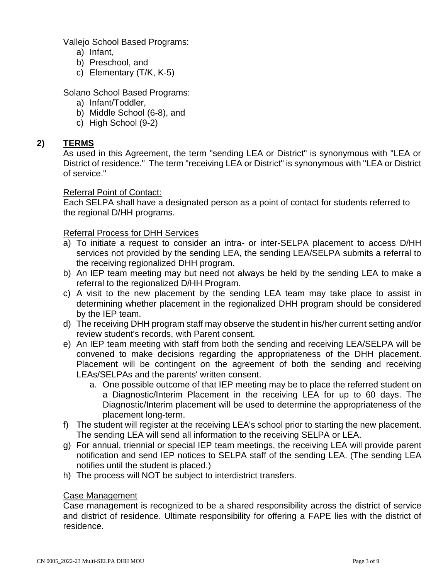Vallejo School Based Programs:

- a) Infant,
- b) Preschool, and
- c) Elementary (T/K, K-5)

Solano School Based Programs:

- a) Infant/Toddler,
- b) Middle School (6-8), and
- c) High School (9-2)

# **2) TERMS**

As used in this Agreement, the term "sending LEA or District" is synonymous with "LEA or District of residence." The term "receiving LEA or District" is synonymous with "LEA or District of service."

### Referral Point of Contact:

Each SELPA shall have a designated person as a point of contact for students referred to the regional D/HH programs.

### Referral Process for DHH Services

- a) To initiate a request to consider an intra- or inter-SELPA placement to access D/HH services not provided by the sending LEA, the sending LEA/SELPA submits a referral to the receiving regionalized DHH program.
- b) An IEP team meeting may but need not always be held by the sending LEA to make a referral to the regionalized D/HH Program.
- c) A visit to the new placement by the sending LEA team may take place to assist in determining whether placement in the regionalized DHH program should be considered by the IEP team.
- d) The receiving DHH program staff may observe the student in his/her current setting and/or review student's records, with Parent consent.
- e) An IEP team meeting with staff from both the sending and receiving LEA/SELPA will be convened to make decisions regarding the appropriateness of the DHH placement. Placement will be contingent on the agreement of both the sending and receiving LEAs/SELPAs and the parents' written consent.
	- a. One possible outcome of that IEP meeting may be to place the referred student on a Diagnostic/Interim Placement in the receiving LEA for up to 60 days. The Diagnostic/Interim placement will be used to determine the appropriateness of the placement long-term.
- f) The student will register at the receiving LEA's school prior to starting the new placement. The sending LEA will send all information to the receiving SELPA or LEA.
- g) For annual, triennial or special IEP team meetings, the receiving LEA will provide parent notification and send IEP notices to SELPA staff of the sending LEA. (The sending LEA notifies until the student is placed.)
- h) The process will NOT be subject to interdistrict transfers.

### Case Management

Case management is recognized to be a shared responsibility across the district of service and district of residence. Ultimate responsibility for offering a FAPE lies with the district of residence.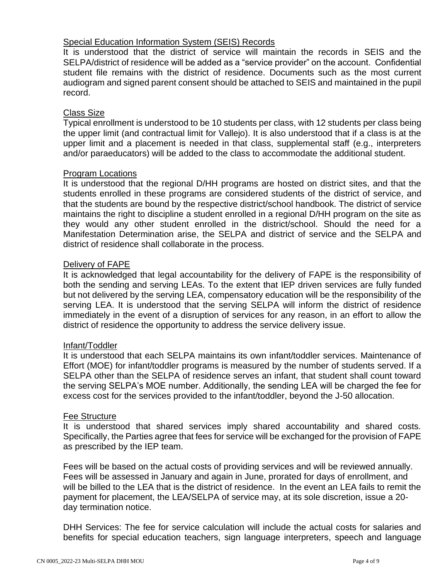## Special Education Information System (SEIS) Records

It is understood that the district of service will maintain the records in SEIS and the SELPA/district of residence will be added as a "service provider" on the account. Confidential student file remains with the district of residence. Documents such as the most current audiogram and signed parent consent should be attached to SEIS and maintained in the pupil record.

### Class Size

Typical enrollment is understood to be 10 students per class, with 12 students per class being the upper limit (and contractual limit for Vallejo). It is also understood that if a class is at the upper limit and a placement is needed in that class, supplemental staff (e.g., interpreters and/or paraeducators) will be added to the class to accommodate the additional student.

### Program Locations

It is understood that the regional D/HH programs are hosted on district sites, and that the students enrolled in these programs are considered students of the district of service, and that the students are bound by the respective district/school handbook. The district of service maintains the right to discipline a student enrolled in a regional D/HH program on the site as they would any other student enrolled in the district/school. Should the need for a Manifestation Determination arise, the SELPA and district of service and the SELPA and district of residence shall collaborate in the process.

### Delivery of FAPE

It is acknowledged that legal accountability for the delivery of FAPE is the responsibility of both the sending and serving LEAs. To the extent that IEP driven services are fully funded but not delivered by the serving LEA, compensatory education will be the responsibility of the serving LEA. It is understood that the serving SELPA will inform the district of residence immediately in the event of a disruption of services for any reason, in an effort to allow the district of residence the opportunity to address the service delivery issue.

### Infant/Toddler

It is understood that each SELPA maintains its own infant/toddler services. Maintenance of Effort (MOE) for infant/toddler programs is measured by the number of students served. If a SELPA other than the SELPA of residence serves an infant, that student shall count toward the serving SELPA's MOE number. Additionally, the sending LEA will be charged the fee for excess cost for the services provided to the infant/toddler, beyond the J-50 allocation.

### Fee Structure

It is understood that shared services imply shared accountability and shared costs. Specifically, the Parties agree that fees for service will be exchanged for the provision of FAPE as prescribed by the IEP team.

Fees will be based on the actual costs of providing services and will be reviewed annually. Fees will be assessed in January and again in June, prorated for days of enrollment, and will be billed to the LEA that is the district of residence. In the event an LEA fails to remit the payment for placement, the LEA/SELPA of service may, at its sole discretion, issue a 20 day termination notice.

DHH Services: The fee for service calculation will include the actual costs for salaries and benefits for special education teachers, sign language interpreters, speech and language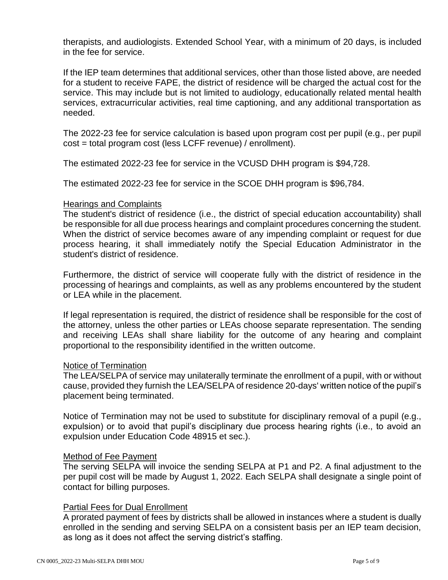therapists, and audiologists. Extended School Year, with a minimum of 20 days, is included in the fee for service.

If the IEP team determines that additional services, other than those listed above, are needed for a student to receive FAPE, the district of residence will be charged the actual cost for the service. This may include but is not limited to audiology, educationally related mental health services, extracurricular activities, real time captioning, and any additional transportation as needed.

The 2022-23 fee for service calculation is based upon program cost per pupil (e.g., per pupil cost = total program cost (less LCFF revenue) / enrollment).

The estimated 2022-23 fee for service in the VCUSD DHH program is \$94,728.

The estimated 2022-23 fee for service in the SCOE DHH program is \$96,784.

### Hearings and Complaints

The student's district of residence (i.e., the district of special education accountability) shall be responsible for all due process hearings and complaint procedures concerning the student. When the district of service becomes aware of any impending complaint or request for due process hearing, it shall immediately notify the Special Education Administrator in the student's district of residence.

Furthermore, the district of service will cooperate fully with the district of residence in the processing of hearings and complaints, as well as any problems encountered by the student or LEA while in the placement.

If legal representation is required, the district of residence shall be responsible for the cost of the attorney, unless the other parties or LEAs choose separate representation. The sending and receiving LEAs shall share liability for the outcome of any hearing and complaint proportional to the responsibility identified in the written outcome.

### Notice of Termination

The LEA/SELPA of service may unilaterally terminate the enrollment of a pupil, with or without cause, provided they furnish the LEA/SELPA of residence 20-days' written notice of the pupil's placement being terminated.

Notice of Termination may not be used to substitute for disciplinary removal of a pupil (e.g., expulsion) or to avoid that pupil's disciplinary due process hearing rights (i.e., to avoid an expulsion under Education Code 48915 et sec.).

### Method of Fee Payment

The serving SELPA will invoice the sending SELPA at P1 and P2. A final adjustment to the per pupil cost will be made by August 1, 2022. Each SELPA shall designate a single point of contact for billing purposes.

# Partial Fees for Dual Enrollment

A prorated payment of fees by districts shall be allowed in instances where a student is dually enrolled in the sending and serving SELPA on a consistent basis per an IEP team decision, as long as it does not affect the serving district's staffing.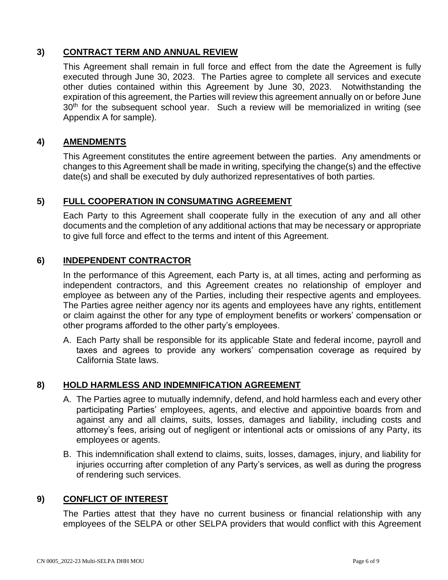# **3) CONTRACT TERM AND ANNUAL REVIEW**

This Agreement shall remain in full force and effect from the date the Agreement is fully executed through June 30, 2023. The Parties agree to complete all services and execute other duties contained within this Agreement by June 30, 2023. Notwithstanding the expiration of this agreement, the Parties will review this agreement annually on or before June 30<sup>th</sup> for the subsequent school year. Such a review will be memorialized in writing (see Appendix A for sample).

# **4) AMENDMENTS**

This Agreement constitutes the entire agreement between the parties. Any amendments or changes to this Agreement shall be made in writing, specifying the change(s) and the effective date(s) and shall be executed by duly authorized representatives of both parties.

# **5) FULL COOPERATION IN CONSUMATING AGREEMENT**

Each Party to this Agreement shall cooperate fully in the execution of any and all other documents and the completion of any additional actions that may be necessary or appropriate to give full force and effect to the terms and intent of this Agreement.

# **6) INDEPENDENT CONTRACTOR**

In the performance of this Agreement, each Party is, at all times, acting and performing as independent contractors, and this Agreement creates no relationship of employer and employee as between any of the Parties, including their respective agents and employees. The Parties agree neither agency nor its agents and employees have any rights, entitlement or claim against the other for any type of employment benefits or workers' compensation or other programs afforded to the other party's employees.

A. Each Party shall be responsible for its applicable State and federal income, payroll and taxes and agrees to provide any workers' compensation coverage as required by California State laws.

# **8) HOLD HARMLESS AND INDEMNIFICATION AGREEMENT**

- A. The Parties agree to mutually indemnify, defend, and hold harmless each and every other participating Parties' employees, agents, and elective and appointive boards from and against any and all claims, suits, losses, damages and liability, including costs and attorney's fees, arising out of negligent or intentional acts or omissions of any Party, its employees or agents.
- B. This indemnification shall extend to claims, suits, losses, damages, injury, and liability for injuries occurring after completion of any Party's services, as well as during the progress of rendering such services.

# **9) CONFLICT OF INTEREST**

The Parties attest that they have no current business or financial relationship with any employees of the SELPA or other SELPA providers that would conflict with this Agreement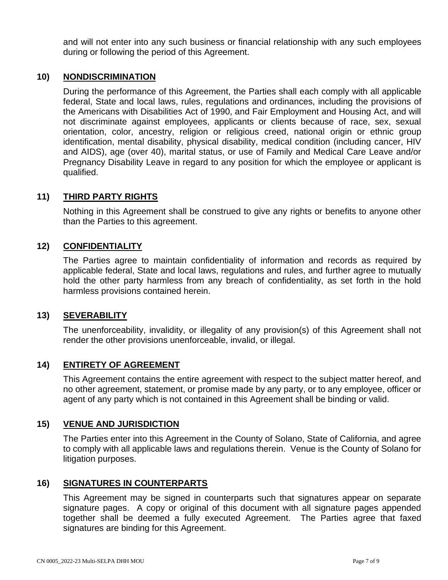and will not enter into any such business or financial relationship with any such employees during or following the period of this Agreement.

## **10) NONDISCRIMINATION**

During the performance of this Agreement, the Parties shall each comply with all applicable federal, State and local laws, rules, regulations and ordinances, including the provisions of the Americans with Disabilities Act of 1990, and Fair Employment and Housing Act, and will not discriminate against employees, applicants or clients because of race, sex, sexual orientation, color, ancestry, religion or religious creed, national origin or ethnic group identification, mental disability, physical disability, medical condition (including cancer, HIV and AIDS), age (over 40), marital status, or use of Family and Medical Care Leave and/or Pregnancy Disability Leave in regard to any position for which the employee or applicant is qualified.

### **11) THIRD PARTY RIGHTS**

Nothing in this Agreement shall be construed to give any rights or benefits to anyone other than the Parties to this agreement.

# **12) CONFIDENTIALITY**

The Parties agree to maintain confidentiality of information and records as required by applicable federal, State and local laws, regulations and rules, and further agree to mutually hold the other party harmless from any breach of confidentiality, as set forth in the hold harmless provisions contained herein.

### **13) SEVERABILITY**

The unenforceability, invalidity, or illegality of any provision(s) of this Agreement shall not render the other provisions unenforceable, invalid, or illegal.

### **14) ENTIRETY OF AGREEMENT**

This Agreement contains the entire agreement with respect to the subject matter hereof, and no other agreement, statement, or promise made by any party, or to any employee, officer or agent of any party which is not contained in this Agreement shall be binding or valid.

### **15) VENUE AND JURISDICTION**

The Parties enter into this Agreement in the County of Solano, State of California, and agree to comply with all applicable laws and regulations therein. Venue is the County of Solano for litigation purposes.

### **16) SIGNATURES IN COUNTERPARTS**

This Agreement may be signed in counterparts such that signatures appear on separate signature pages. A copy or original of this document with all signature pages appended together shall be deemed a fully executed Agreement. The Parties agree that faxed signatures are binding for this Agreement.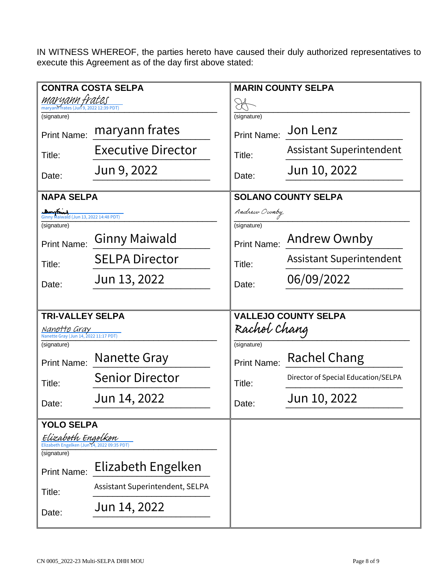IN WITNESS WHEREOF, the parties hereto have caused their duly authorized representatives to execute this Agreement as of the day first above stated:

| <b>CONTRA COSTA SELPA</b>                                       |                                 | <b>MARIN COUNTY SELPA</b>   |                                     |
|-----------------------------------------------------------------|---------------------------------|-----------------------------|-------------------------------------|
| <u>maryann frates</u><br>maryann frates (Jun 9, 2022 12:39 PDT) |                                 |                             |                                     |
| (signature)                                                     |                                 | (signature)                 |                                     |
| <b>Print Name:</b>                                              | maryann frates                  | <b>Print Name:</b>          | Jon Lenz                            |
| Title:                                                          | <b>Executive Director</b>       | Title:                      | <b>Assistant Superintendent</b>     |
| Date:                                                           | Jun 9, 2022                     | Date:                       | Jun 10, 2022                        |
| <b>NAPA SELPA</b>                                               |                                 | <b>SOLANO COUNTY SELPA</b>  |                                     |
| myrning<br>Ginny Maiwald (Jun 13, 2022 14:48 PDT)               |                                 | Andrew Ownby                |                                     |
| (signature)                                                     |                                 | (signature)                 |                                     |
| <b>Print Name:</b>                                              | <b>Ginny Maiwald</b>            | <b>Print Name:</b>          | Andrew Ownby                        |
| Title:                                                          | <b>SELPA Director</b>           | Title:                      | <b>Assistant Superintendent</b>     |
| Date:                                                           | Jun 13, 2022                    | Date:                       | 06/09/2022                          |
|                                                                 |                                 |                             |                                     |
| <b>TRI-VALLEY SELPA</b>                                         |                                 | <b>VALLEJO COUNTY SELPA</b> |                                     |
| Nanette Gray<br>Nanette Gray (Jun 14, 2022 11:17 PDT)           |                                 | Rachel Chang                |                                     |
|                                                                 |                                 |                             |                                     |
| (signature)                                                     |                                 | (signature)                 |                                     |
| <b>Print Name:</b>                                              | Nanette Gray                    | <b>Print Name:</b>          | Rachel Chang                        |
| Title:                                                          | <b>Senior Director</b>          | Title:                      | Director of Special Education/SELPA |
| Date:                                                           | Jun 14, 2022                    | Date:                       | Jun 10, 2022                        |
|                                                                 |                                 |                             |                                     |
| <b>YOLO SELPA</b><br>Elizabeth Engelken                         |                                 |                             |                                     |
| Elizabeth Engelken (Jun 14, 2022 09:35 PDT)<br>(signature)      |                                 |                             |                                     |
| <b>Print Name:</b>                                              | Elizabeth Engelken              |                             |                                     |
| Title:                                                          | Assistant Superintendent, SELPA |                             |                                     |
| Date:                                                           | Jun 14, 2022                    |                             |                                     |